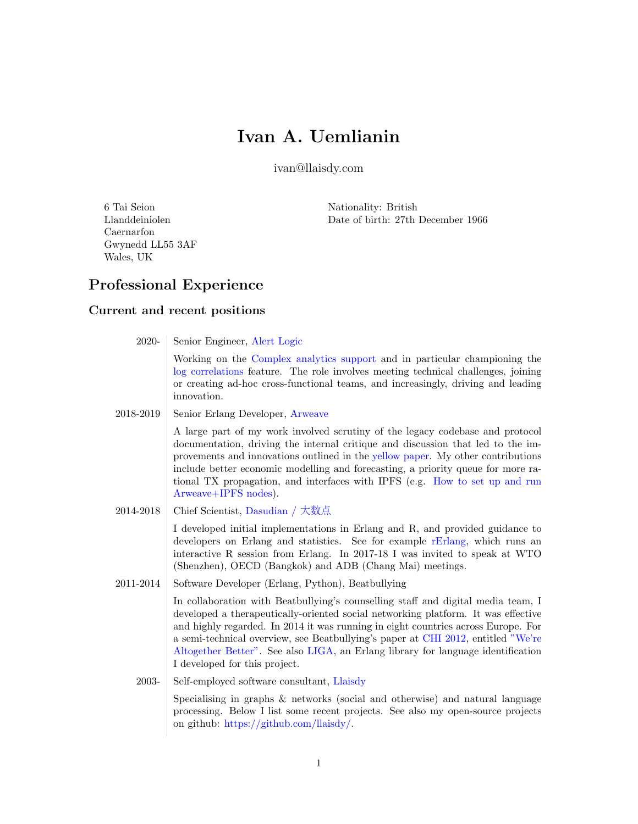# Ivan A. Uemlianin

ivan@llaisdy.com

6 Tai Seion Llanddeiniolen Caernarfon Gwynedd LL55 3AF Wales, UK

Nationality: British Date of birth: 27th December 1966

## Professional Experience

### Current and recent positions

| 2020-     | Senior Engineer, Alert Logic                                                                                                                                                                                                                                                                                                                                                                                                                                        |
|-----------|---------------------------------------------------------------------------------------------------------------------------------------------------------------------------------------------------------------------------------------------------------------------------------------------------------------------------------------------------------------------------------------------------------------------------------------------------------------------|
|           | Working on the Complex analytics support and in particular championing the<br>log correlations feature. The role involves meeting technical challenges, joining<br>or creating ad-hoc cross-functional teams, and increasingly, driving and leading<br>innovation.                                                                                                                                                                                                  |
| 2018-2019 | Senior Erlang Developer, Arweave                                                                                                                                                                                                                                                                                                                                                                                                                                    |
|           | A large part of my work involved scrutiny of the legacy codebase and protocol<br>documentation, driving the internal critique and discussion that led to the im-<br>provements and innovations outlined in the yellow paper. My other contributions<br>include better economic modelling and forecasting, a priority queue for more ra-<br>tional TX propagation, and interfaces with IPFS (e.g. How to set up and run<br>Arweave+IPFS nodes).                      |
| 2014-2018 | Chief Scientist, Dasudian / 大数点                                                                                                                                                                                                                                                                                                                                                                                                                                     |
|           | I developed initial implementations in Erlang and R, and provided guidance to<br>developers on Erlang and statistics. See for example rErlang, which runs an<br>interactive R session from Erlang. In 2017-18 I was invited to speak at WTO<br>(Shenzhen), OECD (Bangkok) and ADB (Chang Mai) meetings.                                                                                                                                                             |
| 2011-2014 | Software Developer (Erlang, Python), Beatbullying                                                                                                                                                                                                                                                                                                                                                                                                                   |
|           | In collaboration with Beatbullying's counselling staff and digital media team, I<br>developed a therapeutically-oriented social networking platform. It was effective<br>and highly regarded. In 2014 it was running in eight countries across Europe. For<br>a semi-technical overview, see Beatbullying's paper at CHI 2012, entitled "We're<br>Altogether Better". See also LIGA, an Erlang library for language identification<br>I developed for this project. |
| 2003-     | Self-employed software consultant, Llaisdy                                                                                                                                                                                                                                                                                                                                                                                                                          |
|           | Specialising in graphs & networks (social and otherwise) and natural language<br>processing. Below I list some recent projects. See also my open-source projects                                                                                                                                                                                                                                                                                                    |

on github: [https://github.com/llaisdy/.](https://github.com/llaisdy/)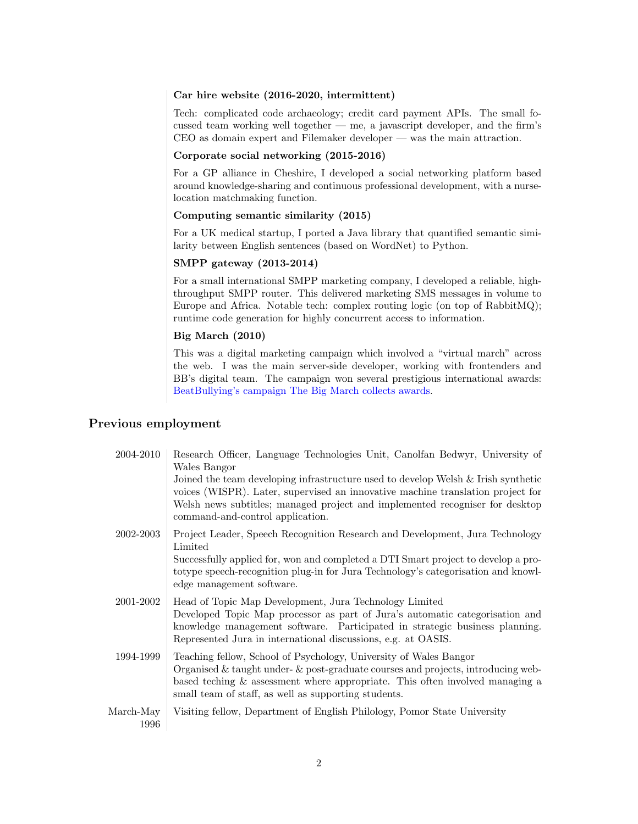#### Car hire website (2016-2020, intermittent)

Tech: complicated code archaeology; credit card payment APIs. The small focussed team working well together — me, a javascript developer, and the firm's CEO as domain expert and Filemaker developer — was the main attraction.

#### Corporate social networking (2015-2016)

For a GP alliance in Cheshire, I developed a social networking platform based around knowledge-sharing and continuous professional development, with a nurselocation matchmaking function.

#### Computing semantic similarity (2015)

For a UK medical startup, I ported a Java library that quantified semantic similarity between English sentences (based on WordNet) to Python.

#### SMPP gateway (2013-2014)

For a small international SMPP marketing company, I developed a reliable, highthroughput SMPP router. This delivered marketing SMS messages in volume to Europe and Africa. Notable tech: complex routing logic (on top of RabbitMQ); runtime code generation for highly concurrent access to information.

#### Big March (2010)

This was a digital marketing campaign which involved a "virtual march" across the web. I was the main server-side developer, working with frontenders and BB's digital team. The campaign won several prestigious international awards: [BeatBullying's campaign The Big March collects awards.](https://llaisdy.wordpress.com/2011/06/17/beatbullying-big-march-awards)

### Previous employment

| 2004-2010         | Research Officer, Language Technologies Unit, Canolfan Bedwyr, University of<br>Wales Bangor                                                                                                                                                                                                           |
|-------------------|--------------------------------------------------------------------------------------------------------------------------------------------------------------------------------------------------------------------------------------------------------------------------------------------------------|
|                   | Joined the team developing infrastructure used to develop Welsh & Irish synthetic<br>voices (WISPR). Later, supervised an innovative machine translation project for<br>Welsh news subtitles; managed project and implemented recogniser for desktop<br>command-and-control application.               |
| 2002-2003         | Project Leader, Speech Recognition Research and Development, Jura Technology<br>Limited                                                                                                                                                                                                                |
|                   | Successfully applied for, won and completed a DTI Smart project to develop a pro-<br>to type speech-recognition plug-in for Jura Technology's categorisation and knowl-<br>edge management software.                                                                                                   |
| 2001-2002         | Head of Topic Map Development, Jura Technology Limited<br>Developed Topic Map processor as part of Jura's automatic categorisation and<br>knowledge management software. Participated in strategic business planning.<br>Represented Jura in international discussions, e.g. at OASIS.                 |
| 1994-1999         | Teaching fellow, School of Psychology, University of Wales Bangor<br>Organised $\&$ taught under- $\&$ post-graduate courses and projects, introducing web-<br>based teching $\&$ assessment where appropriate. This often involved managing a<br>small team of staff, as well as supporting students. |
| March-May<br>1996 | Visiting fellow, Department of English Philology, Pomor State University                                                                                                                                                                                                                               |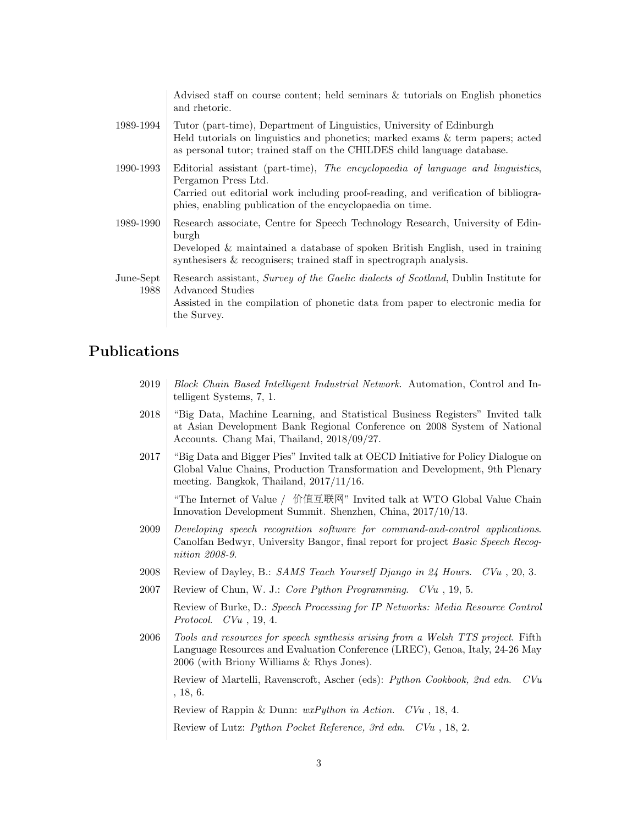|                   | Advised staff on course content; held seminars & tutorials on English phonetics<br>and rhetoric.                                                                                                                                                          |
|-------------------|-----------------------------------------------------------------------------------------------------------------------------------------------------------------------------------------------------------------------------------------------------------|
| 1989-1994         | Tutor (part-time), Department of Linguistics, University of Edinburgh<br>Held tutorials on linguistics and phonetics; marked exams & term papers; acted<br>as personal tutor; trained staff on the CHILDES child language database.                       |
| 1990-1993         | Editorial assistant (part-time), The encyclopaedia of language and linguistics,<br>Pergamon Press Ltd.<br>Carried out editorial work including proof-reading, and verification of bibliogra-<br>phies, enabling publication of the encyclopaedia on time. |
| 1989-1990         | Research associate, Centre for Speech Technology Research, University of Edin-<br>burgh<br>Developed & maintained a database of spoken British English, used in training<br>synthesisers & recognisers; trained staff in spectrograph analysis.           |
| June-Sept<br>1988 | Research assistant, Survey of the Gaelic dialects of Scotland, Dublin Institute for<br>Advanced Studies<br>Assisted in the compilation of phonetic data from paper to electronic media for<br>the Survey.                                                 |

### Publications

| 2019 Block Chain Based Intelligent Industrial Network. Automation, Control and In- |  |  |
|------------------------------------------------------------------------------------|--|--|
| telligent Systems, 7, 1.                                                           |  |  |

- 2018 "Big Data, Machine Learning, and Statistical Business Registers" Invited talk at Asian Development Bank Regional Conference on 2008 System of National Accounts. Chang Mai, Thailand, 2018/09/27.
- 2017 "Big Data and Bigger Pies" Invited talk at OECD Initiative for Policy Dialogue on Global Value Chains, Production Transformation and Development, 9th Plenary meeting. Bangkok, Thailand, 2017/11/16.

"The Internet of Value / 价值互联网" Invited talk at WTO Global Value Chain Innovation Development Summit. Shenzhen, China, 2017/10/13.

- 2009 Developing speech recognition software for command-and-control applications. Canolfan Bedwyr, University Bangor, final report for project Basic Speech Recognition 2008-9.
- 2008 Review of Dayley, B.: SAMS Teach Yourself Django in 24 Hours. CVu, 20, 3.
- 2007 Review of Chun, W. J.: Core Python Programming.  $CVu$ , 19, 5.

Review of Burke, D.: Speech Processing for IP Networks: Media Resource Control Protocol. CVu , 19, 4.

2006 Tools and resources for speech synthesis arising from a Welsh TTS project. Fifth Language Resources and Evaluation Conference (LREC), Genoa, Italy, 24-26 May 2006 (with Briony Williams & Rhys Jones).

Review of Martelli, Ravenscroft, Ascher (eds): Python Cookbook, 2nd edn. CVu , 18, 6.

Review of Rappin & Dunn: wxPython in Action. CVu , 18, 4.

Review of Lutz: Python Pocket Reference, 3rd edn. CVu , 18, 2.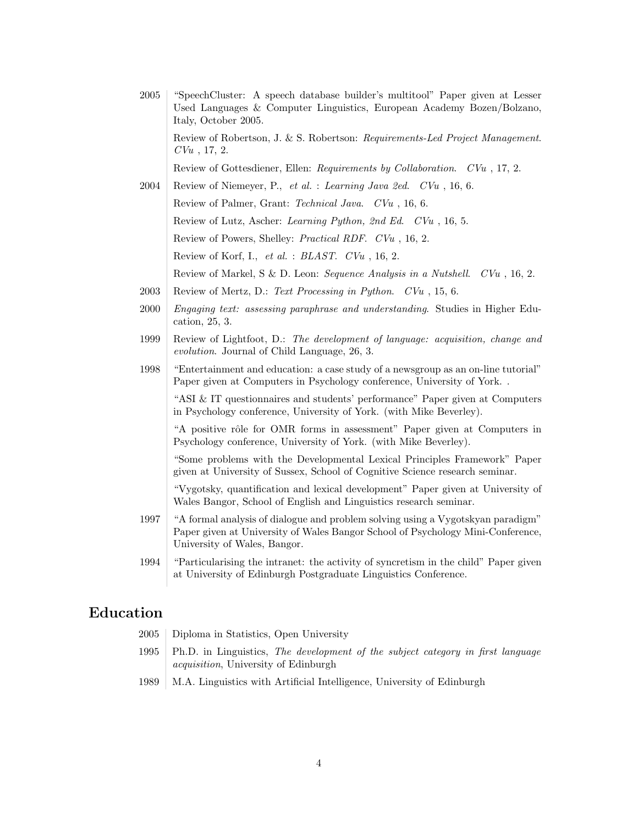| $\,2005\,$ | "SpeechCluster: A speech database builder's multitool" Paper given at Lesser<br>Used Languages & Computer Linguistics, European Academy Bozen/Bolzano,<br>Italy, October 2005.                     |
|------------|----------------------------------------------------------------------------------------------------------------------------------------------------------------------------------------------------|
|            | Review of Robertson, J. & S. Robertson: Requirements-Led Project Management.<br>$CVu$ , 17, 2.                                                                                                     |
|            | Review of Gottesdiener, Ellen: Requirements by Collaboration. CVu, 17, 2.                                                                                                                          |
| 2004       | Review of Niemeyer, P., et al. : Learning Java 2ed. CVu, 16, 6.                                                                                                                                    |
|            | Review of Palmer, Grant: Technical Java. CVu, 16, 6.                                                                                                                                               |
|            | Review of Lutz, Ascher: Learning Python, 2nd Ed. CVu, 16, 5.                                                                                                                                       |
|            | Review of Powers, Shelley: <i>Practical RDF. CVu</i> , 16, 2.                                                                                                                                      |
|            | Review of Korf, I., et al. : BLAST. CVu, 16, 2.                                                                                                                                                    |
|            | Review of Markel, S & D. Leon: Sequence Analysis in a Nutshell. $CVu$ , 16, 2.                                                                                                                     |
| 2003       | Review of Mertz, D.: Text Processing in Python. CVu, 15, 6.                                                                                                                                        |
| 2000       | Engaging text: assessing paraphrase and understanding. Studies in Higher Edu-<br>cation, 25, 3.                                                                                                    |
| 1999       | Review of Lightfoot, D.: The development of language: acquisition, change and<br>evolution. Journal of Child Language, 26, 3.                                                                      |
| 1998       | "Entertainment and education: a case study of a newsgroup as an on-line tutorial"<br>Paper given at Computers in Psychology conference, University of York. .                                      |
|            | "ASI & IT questionnaires and students' performance" Paper given at Computers<br>in Psychology conference, University of York. (with Mike Beverley).                                                |
|            | "A positive rôle for OMR forms in assessment" Paper given at Computers in<br>Psychology conference, University of York. (with Mike Beverley).                                                      |
|            | "Some problems with the Developmental Lexical Principles Framework" Paper<br>given at University of Sussex, School of Cognitive Science research seminar.                                          |
|            | "Vygotsky, quantification and lexical development" Paper given at University of<br>Wales Bangor, School of English and Linguistics research seminar.                                               |
| 1997       | "A formal analysis of dialogue and problem solving using a Vygotskyan paradigm"<br>Paper given at University of Wales Bangor School of Psychology Mini-Conference,<br>University of Wales, Bangor. |
| 1994       | "Particularising the intranet: the activity of syncretism in the child" Paper given<br>at University of Edinburgh Postgraduate Linguistics Conference.                                             |
|            |                                                                                                                                                                                                    |

## Education

- 2005 Diploma in Statistics, Open University
- 1995 Ph.D. in Linguistics, The development of the subject category in first language acquisition, University of Edinburgh
- 1989 M.A. Linguistics with Artificial Intelligence, University of Edinburgh